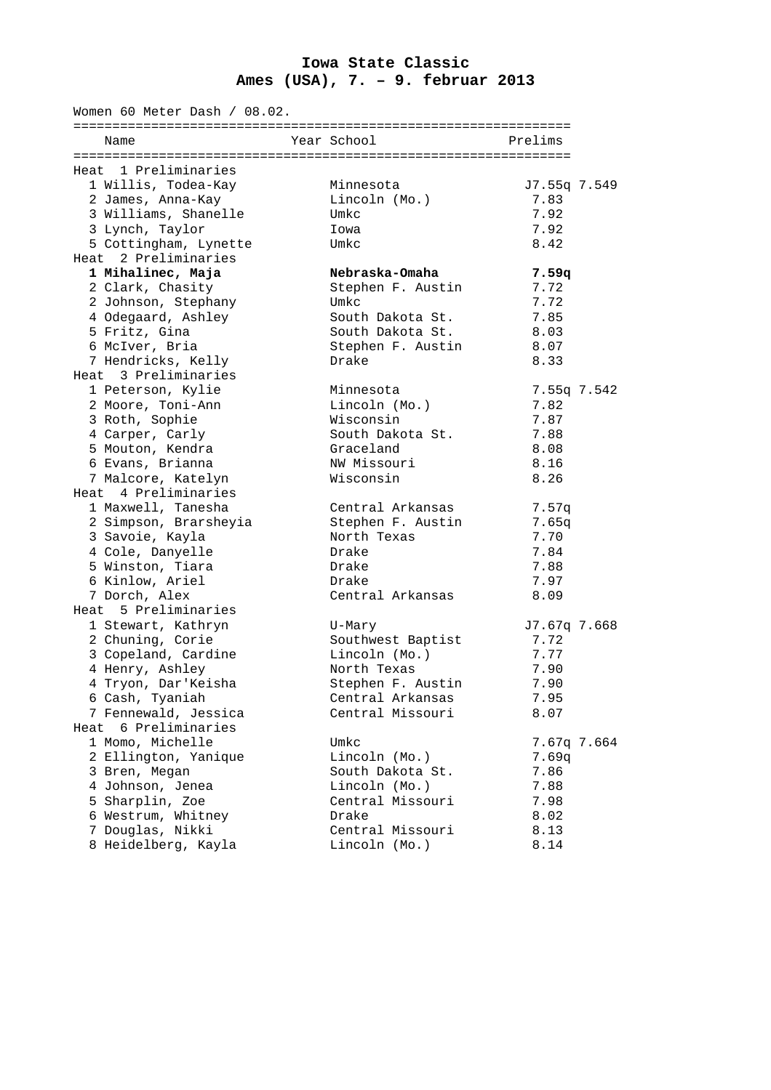## **Iowa State Classic Ames (USA), 7. – 9. februar 2013**

| Women 60 Meter Dash / 08.02. |                                                                                                                                                                                                                                                                                                                                                                                                                                                                                                                                                                                                                                                                                               |                   |                                                                                                                                                                                                                                                                                                                                                                                                                                                |
|------------------------------|-----------------------------------------------------------------------------------------------------------------------------------------------------------------------------------------------------------------------------------------------------------------------------------------------------------------------------------------------------------------------------------------------------------------------------------------------------------------------------------------------------------------------------------------------------------------------------------------------------------------------------------------------------------------------------------------------|-------------------|------------------------------------------------------------------------------------------------------------------------------------------------------------------------------------------------------------------------------------------------------------------------------------------------------------------------------------------------------------------------------------------------------------------------------------------------|
| Name                         |                                                                                                                                                                                                                                                                                                                                                                                                                                                                                                                                                                                                                                                                                               |                   | Prelims                                                                                                                                                                                                                                                                                                                                                                                                                                        |
|                              |                                                                                                                                                                                                                                                                                                                                                                                                                                                                                                                                                                                                                                                                                               |                   |                                                                                                                                                                                                                                                                                                                                                                                                                                                |
| Heat 1 Preliminaries         |                                                                                                                                                                                                                                                                                                                                                                                                                                                                                                                                                                                                                                                                                               |                   |                                                                                                                                                                                                                                                                                                                                                                                                                                                |
| 1 Willis, Todea-Kay          |                                                                                                                                                                                                                                                                                                                                                                                                                                                                                                                                                                                                                                                                                               | Minnesota         | J7.55q 7.549                                                                                                                                                                                                                                                                                                                                                                                                                                   |
| 2 James, Anna-Kay            |                                                                                                                                                                                                                                                                                                                                                                                                                                                                                                                                                                                                                                                                                               | Lincoln (Mo.)     | 7.83                                                                                                                                                                                                                                                                                                                                                                                                                                           |
|                              |                                                                                                                                                                                                                                                                                                                                                                                                                                                                                                                                                                                                                                                                                               | Umkc              | 7.92                                                                                                                                                                                                                                                                                                                                                                                                                                           |
| 3 Lynch, Taylor              |                                                                                                                                                                                                                                                                                                                                                                                                                                                                                                                                                                                                                                                                                               | Iowa              | 7.92                                                                                                                                                                                                                                                                                                                                                                                                                                           |
| 5 Cottingham, Lynette        |                                                                                                                                                                                                                                                                                                                                                                                                                                                                                                                                                                                                                                                                                               | Umkc              | 8.42                                                                                                                                                                                                                                                                                                                                                                                                                                           |
| Heat 2 Preliminaries         |                                                                                                                                                                                                                                                                                                                                                                                                                                                                                                                                                                                                                                                                                               |                   |                                                                                                                                                                                                                                                                                                                                                                                                                                                |
| 1 Mihalinec, Maja            |                                                                                                                                                                                                                                                                                                                                                                                                                                                                                                                                                                                                                                                                                               | Nebraska-Omaha    | 7.59q                                                                                                                                                                                                                                                                                                                                                                                                                                          |
|                              |                                                                                                                                                                                                                                                                                                                                                                                                                                                                                                                                                                                                                                                                                               |                   | 7.72                                                                                                                                                                                                                                                                                                                                                                                                                                           |
|                              |                                                                                                                                                                                                                                                                                                                                                                                                                                                                                                                                                                                                                                                                                               | Umkc              | 7.72                                                                                                                                                                                                                                                                                                                                                                                                                                           |
|                              |                                                                                                                                                                                                                                                                                                                                                                                                                                                                                                                                                                                                                                                                                               |                   | 7.85                                                                                                                                                                                                                                                                                                                                                                                                                                           |
|                              |                                                                                                                                                                                                                                                                                                                                                                                                                                                                                                                                                                                                                                                                                               |                   | 8.03                                                                                                                                                                                                                                                                                                                                                                                                                                           |
|                              |                                                                                                                                                                                                                                                                                                                                                                                                                                                                                                                                                                                                                                                                                               |                   | 8.07                                                                                                                                                                                                                                                                                                                                                                                                                                           |
|                              |                                                                                                                                                                                                                                                                                                                                                                                                                                                                                                                                                                                                                                                                                               |                   | 8.33                                                                                                                                                                                                                                                                                                                                                                                                                                           |
|                              |                                                                                                                                                                                                                                                                                                                                                                                                                                                                                                                                                                                                                                                                                               |                   |                                                                                                                                                                                                                                                                                                                                                                                                                                                |
|                              |                                                                                                                                                                                                                                                                                                                                                                                                                                                                                                                                                                                                                                                                                               |                   | 7.55q 7.542                                                                                                                                                                                                                                                                                                                                                                                                                                    |
|                              |                                                                                                                                                                                                                                                                                                                                                                                                                                                                                                                                                                                                                                                                                               |                   | 7.82                                                                                                                                                                                                                                                                                                                                                                                                                                           |
|                              |                                                                                                                                                                                                                                                                                                                                                                                                                                                                                                                                                                                                                                                                                               |                   | 7.87                                                                                                                                                                                                                                                                                                                                                                                                                                           |
|                              |                                                                                                                                                                                                                                                                                                                                                                                                                                                                                                                                                                                                                                                                                               |                   | 7.88                                                                                                                                                                                                                                                                                                                                                                                                                                           |
|                              |                                                                                                                                                                                                                                                                                                                                                                                                                                                                                                                                                                                                                                                                                               |                   |                                                                                                                                                                                                                                                                                                                                                                                                                                                |
|                              |                                                                                                                                                                                                                                                                                                                                                                                                                                                                                                                                                                                                                                                                                               |                   | 8.08                                                                                                                                                                                                                                                                                                                                                                                                                                           |
|                              |                                                                                                                                                                                                                                                                                                                                                                                                                                                                                                                                                                                                                                                                                               |                   | 8.16                                                                                                                                                                                                                                                                                                                                                                                                                                           |
|                              |                                                                                                                                                                                                                                                                                                                                                                                                                                                                                                                                                                                                                                                                                               |                   | 8.26                                                                                                                                                                                                                                                                                                                                                                                                                                           |
|                              |                                                                                                                                                                                                                                                                                                                                                                                                                                                                                                                                                                                                                                                                                               |                   |                                                                                                                                                                                                                                                                                                                                                                                                                                                |
|                              |                                                                                                                                                                                                                                                                                                                                                                                                                                                                                                                                                                                                                                                                                               |                   | 7.57q                                                                                                                                                                                                                                                                                                                                                                                                                                          |
|                              |                                                                                                                                                                                                                                                                                                                                                                                                                                                                                                                                                                                                                                                                                               |                   | 7.65q                                                                                                                                                                                                                                                                                                                                                                                                                                          |
|                              |                                                                                                                                                                                                                                                                                                                                                                                                                                                                                                                                                                                                                                                                                               |                   | 7.70                                                                                                                                                                                                                                                                                                                                                                                                                                           |
|                              |                                                                                                                                                                                                                                                                                                                                                                                                                                                                                                                                                                                                                                                                                               | Drake             | 7.84                                                                                                                                                                                                                                                                                                                                                                                                                                           |
|                              |                                                                                                                                                                                                                                                                                                                                                                                                                                                                                                                                                                                                                                                                                               | Drake             | 7.88                                                                                                                                                                                                                                                                                                                                                                                                                                           |
| 6 Kinlow, Ariel              |                                                                                                                                                                                                                                                                                                                                                                                                                                                                                                                                                                                                                                                                                               | Drake             | 7.97                                                                                                                                                                                                                                                                                                                                                                                                                                           |
| 7 Dorch, Alex                |                                                                                                                                                                                                                                                                                                                                                                                                                                                                                                                                                                                                                                                                                               | Central Arkansas  | 8.09                                                                                                                                                                                                                                                                                                                                                                                                                                           |
| Heat 5 Preliminaries         |                                                                                                                                                                                                                                                                                                                                                                                                                                                                                                                                                                                                                                                                                               |                   |                                                                                                                                                                                                                                                                                                                                                                                                                                                |
| 1 Stewart, Kathryn           |                                                                                                                                                                                                                                                                                                                                                                                                                                                                                                                                                                                                                                                                                               | U-Mary            | J7.67q 7.668                                                                                                                                                                                                                                                                                                                                                                                                                                   |
| 2 Chuning, Corie             |                                                                                                                                                                                                                                                                                                                                                                                                                                                                                                                                                                                                                                                                                               | Southwest Baptist | 7.72                                                                                                                                                                                                                                                                                                                                                                                                                                           |
| 3 Copeland, Cardine          |                                                                                                                                                                                                                                                                                                                                                                                                                                                                                                                                                                                                                                                                                               | Lincoln (Mo.)     | 7.77                                                                                                                                                                                                                                                                                                                                                                                                                                           |
| 4 Henry, Ashley              |                                                                                                                                                                                                                                                                                                                                                                                                                                                                                                                                                                                                                                                                                               | North Texas       | 7.90                                                                                                                                                                                                                                                                                                                                                                                                                                           |
| 4 Tryon, Dar'Keisha          |                                                                                                                                                                                                                                                                                                                                                                                                                                                                                                                                                                                                                                                                                               | Stephen F. Austin | 7.90                                                                                                                                                                                                                                                                                                                                                                                                                                           |
|                              |                                                                                                                                                                                                                                                                                                                                                                                                                                                                                                                                                                                                                                                                                               |                   | 7.95                                                                                                                                                                                                                                                                                                                                                                                                                                           |
|                              |                                                                                                                                                                                                                                                                                                                                                                                                                                                                                                                                                                                                                                                                                               |                   | 8.07                                                                                                                                                                                                                                                                                                                                                                                                                                           |
|                              |                                                                                                                                                                                                                                                                                                                                                                                                                                                                                                                                                                                                                                                                                               |                   |                                                                                                                                                                                                                                                                                                                                                                                                                                                |
|                              |                                                                                                                                                                                                                                                                                                                                                                                                                                                                                                                                                                                                                                                                                               |                   | 7.67q 7.664                                                                                                                                                                                                                                                                                                                                                                                                                                    |
|                              |                                                                                                                                                                                                                                                                                                                                                                                                                                                                                                                                                                                                                                                                                               |                   | 7.69q                                                                                                                                                                                                                                                                                                                                                                                                                                          |
|                              |                                                                                                                                                                                                                                                                                                                                                                                                                                                                                                                                                                                                                                                                                               |                   | 7.86                                                                                                                                                                                                                                                                                                                                                                                                                                           |
|                              |                                                                                                                                                                                                                                                                                                                                                                                                                                                                                                                                                                                                                                                                                               |                   | 7.88                                                                                                                                                                                                                                                                                                                                                                                                                                           |
|                              |                                                                                                                                                                                                                                                                                                                                                                                                                                                                                                                                                                                                                                                                                               |                   | 7.98                                                                                                                                                                                                                                                                                                                                                                                                                                           |
|                              |                                                                                                                                                                                                                                                                                                                                                                                                                                                                                                                                                                                                                                                                                               |                   |                                                                                                                                                                                                                                                                                                                                                                                                                                                |
|                              |                                                                                                                                                                                                                                                                                                                                                                                                                                                                                                                                                                                                                                                                                               |                   | 8.02                                                                                                                                                                                                                                                                                                                                                                                                                                           |
|                              |                                                                                                                                                                                                                                                                                                                                                                                                                                                                                                                                                                                                                                                                                               |                   | 8.13<br>8.14                                                                                                                                                                                                                                                                                                                                                                                                                                   |
|                              | 3 Williams, Shanelle<br>2 Clark, Chasity<br>2 Johnson, Stephany<br>4 Odegaard, Ashley<br>5 Fritz, Gina<br>6 McIver, Bria<br>7 Hendricks, Kelly<br>Heat 3 Preliminaries<br>1 Peterson, Kylie<br>2 Moore, Toni-Ann<br>3 Roth, Sophie<br>4 Carper, Carly<br>5 Mouton, Kendra<br>6 Evans, Brianna<br>7 Malcore, Katelyn<br>Heat 4 Preliminaries<br>1 Maxwell, Tanesha<br>2 Simpson, Brarsheyia<br>3 Savoie, Kayla<br>4 Cole, Danyelle<br>5 Winston, Tiara<br>6 Cash, Tyaniah<br>7 Fennewald, Jessica<br>Heat 6 Preliminaries<br>1 Momo, Michelle<br>2 Ellington, Yanique<br>3 Bren, Megan<br>4 Johnson, Jenea<br>5 Sharplin, Zoe<br>6 Westrum, Whitney<br>7 Douglas, Nikki<br>8 Heidelberg, Kayla |                   | Year School<br>Stephen F. Austin<br>South Dakota St.<br>South Dakota St.<br>Stephen F. Austin<br>Drake<br>Minnesota<br>Lincoln (Mo.)<br>Wisconsin<br>South Dakota St.<br>Graceland<br>NW Missouri<br>Wisconsin<br>Central Arkansas<br>Stephen F. Austin<br>North Texas<br>Central Arkansas<br>Central Missouri<br>Umkc<br>Lincoln (Mo.)<br>South Dakota St.<br>Lincoln (Mo.)<br>Central Missouri<br>Drake<br>Central Missouri<br>Lincoln (Mo.) |